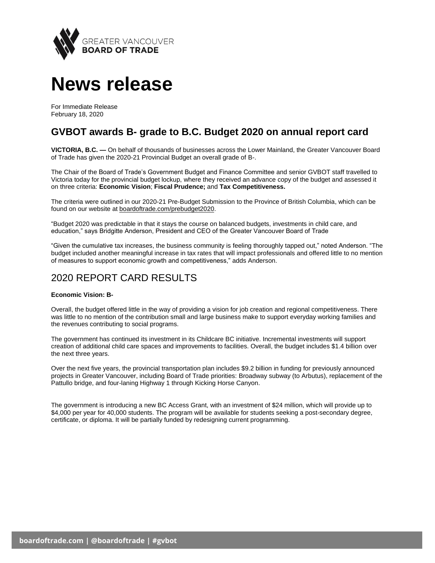

# **News release**

For Immediate Release February 18, 2020

# **GVBOT awards B- grade to B.C. Budget 2020 on annual report card**

**VICTORIA, B.C. —** On behalf of thousands of businesses across the Lower Mainland, the Greater Vancouver Board of Trade has given the 2020-21 Provincial Budget an overall grade of B-.

The Chair of the Board of Trade's Government Budget and Finance Committee and senior GVBOT staff travelled to Victoria today for the provincial budget lockup, where they received an advance copy of the budget and assessed it on three criteria: **Economic Vision**; **Fiscal Prudence;** and **Tax Competitiveness.**

The criteria were outlined in our 2020-21 Pre-Budget Submission to the Province of British Columbia, which can be found on our website at [boardoftrade.com/prebudget2020.](https://www.boardoftrade.com/files/advocacy/2020-bc-budget/bc-budget-2020-submission.pdf)

"Budget 2020 was predictable in that it stays the course on balanced budgets, investments in child care, and education," says Bridgitte Anderson, President and CEO of the Greater Vancouver Board of Trade

"Given the cumulative tax increases, the business community is feeling thoroughly tapped out," noted Anderson. "The budget included another meaningful increase in tax rates that will impact professionals and offered little to no mention of measures to support economic growth and competitiveness," adds Anderson.

# 2020 REPORT CARD RESULTS

## **Economic Vision: B-**

Overall, the budget offered little in the way of providing a vision for job creation and regional competitiveness. There was little to no mention of the contribution small and large business make to support everyday working families and the revenues contributing to social programs.

The government has continued its investment in its Childcare BC initiative. Incremental investments will support creation of additional child care spaces and improvements to facilities. Overall, the budget includes \$1.4 billion over the next three years.

Over the next five years, the provincial transportation plan includes \$9.2 billion in funding for previously announced projects in Greater Vancouver, including Board of Trade priorities: Broadway subway (to Arbutus), replacement of the Pattullo bridge, and four-laning Highway 1 through Kicking Horse Canyon.

The government is introducing a new BC Access Grant, with an investment of \$24 million, which will provide up to \$4,000 per year for 40,000 students. The program will be available for students seeking a post-secondary degree, certificate, or diploma. It will be partially funded by redesigning current programming.